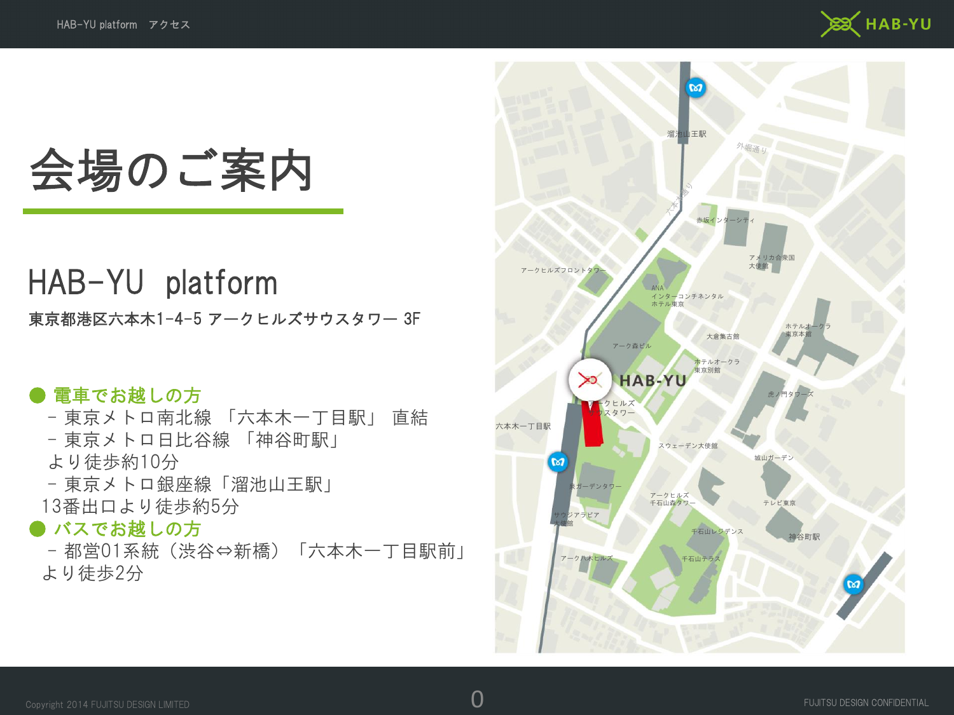

## 会場のご案内

### HAB-YU platform

東京都港区六本木1-4-5 アークヒルズサウスタワー 3F

### ● 電車でお越しの方

- 東京メトロ南北線 「六本木一丁目駅」 直結
- 東京メトロ日比谷線 「神谷町駅」
- より徒歩約10分
- 東京メトロ銀座線「溜池山王駅」
- 13番出口より徒歩約5分

#### ● バスでお越しの方

- 都営01系統(渋谷⇔新橋)「六本木一丁目駅前」 より徒歩2分

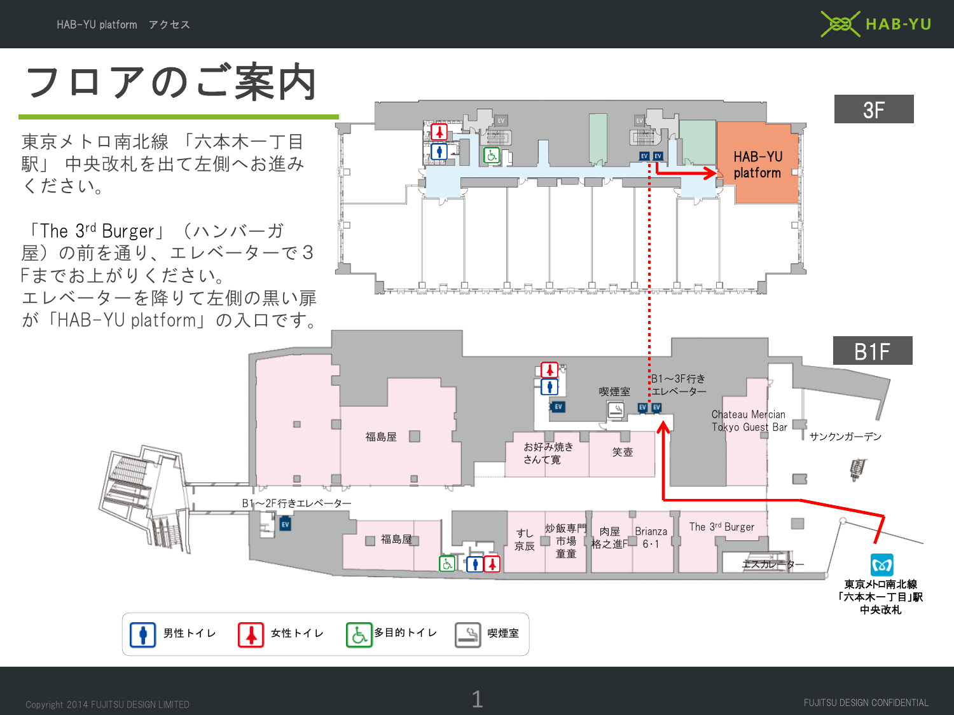

フロアのご案内

東京メトロ南北線 「六本木一丁目 駅」 中央改札を出て左側へお進み ください。

「The 3rd Burger」(ハンバーガ 屋)の前を通り、エレベーターで3 Fまでお上がりください。 エレベーターを降りて左側の黒い扉 が「HAB-YU platform」の入口です。



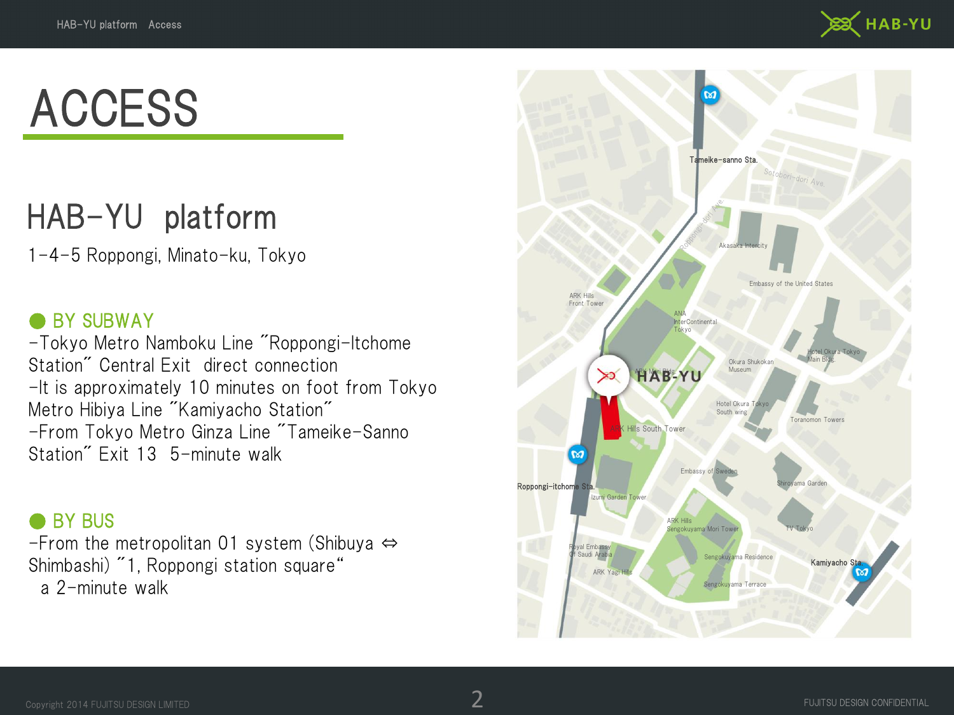

# ACCESS

## HAB-YU platform

1-4-5 Roppongi, Minato-ku, Tokyo

### ● BY SUBWAY

-Tokyo Metro Namboku Line "Roppongi-Itchome Station" Central Exit direct connection -It is approximately 10 minutes on foot from Tokyo Metro Hibiya Line "Kamiyacho Station" -From Tokyo Metro Ginza Line "Tameike-Sanno Station" Exit 13 5-minute walk

### ● BY BUS

-From the metropolitan 01 system (Shibuya ⇔ Shimbashi) "1, Roppongi station square" a 2-minute walk